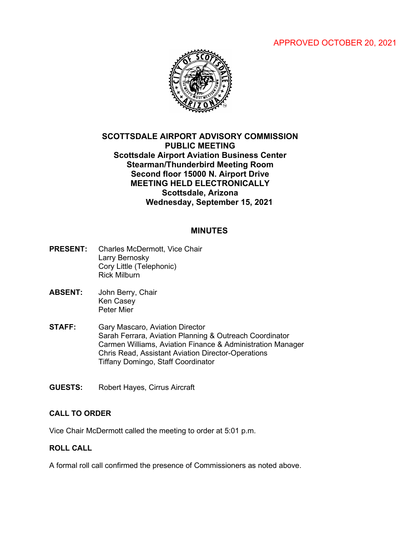# APPROVED OCTOBER 20, 2021



# **SCOTTSDALE AIRPORT ADVISORY COMMISSION PUBLIC MEETING Scottsdale Airport Aviation Business Center Stearman/Thunderbird Meeting Room Second floor 15000 N. Airport Drive MEETING HELD ELECTRONICALLY Scottsdale, Arizona Wednesday, September 15, 2021**

### **MINUTES**

- **PRESENT:** Charles McDermott, Vice Chair Larry Bernosky Cory Little (Telephonic) Rick Milburn
- **ABSENT:** John Berry, Chair Ken Casey Peter Mier
- **STAFF:** Gary Mascaro, Aviation Director Sarah Ferrara, Aviation Planning & Outreach Coordinator Carmen Williams, Aviation Finance & Administration Manager Chris Read, Assistant Aviation Director-Operations Tiffany Domingo, Staff Coordinator
- **GUESTS:** Robert Hayes, Cirrus Aircraft

#### **CALL TO ORDER**

Vice Chair McDermott called the meeting to order at 5:01 p.m.

#### **ROLL CALL**

A formal roll call confirmed the presence of Commissioners as noted above.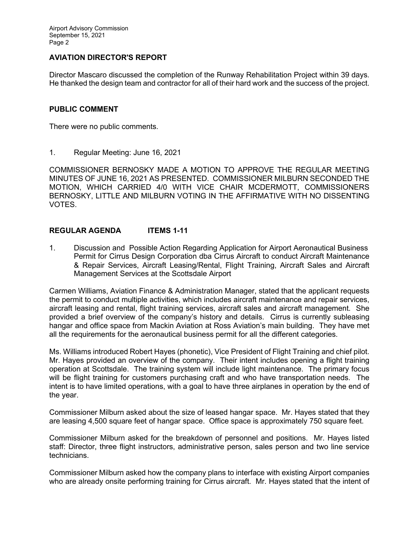## **AVIATION DIRECTOR'S REPORT**

Director Mascaro discussed the completion of the Runway Rehabilitation Project within 39 days. He thanked the design team and contractor for all of their hard work and the success of the project.

#### **PUBLIC COMMENT**

There were no public comments.

1. Regular Meeting: June 16, 2021

COMMISSIONER BERNOSKY MADE A MOTION TO APPROVE THE REGULAR MEETING MINUTES OF JUNE 16, 2021 AS PRESENTED. COMMISSIONER MILBURN SECONDED THE MOTION, WHICH CARRIED 4/0 WITH VICE CHAIR MCDERMOTT, COMMISSIONERS BERNOSKY, LITTLE AND MILBURN VOTING IN THE AFFIRMATIVE WITH NO DISSENTING VOTES.

#### **REGULAR AGENDA ITEMS 1-11**

1. Discussion and Possible Action Regarding Application for Airport Aeronautical Business Permit for Cirrus Design Corporation dba Cirrus Aircraft to conduct Aircraft Maintenance & Repair Services, Aircraft Leasing/Rental, Flight Training, Aircraft Sales and Aircraft Management Services at the Scottsdale Airport

Carmen Williams, Aviation Finance & Administration Manager, stated that the applicant requests the permit to conduct multiple activities, which includes aircraft maintenance and repair services, aircraft leasing and rental, flight training services, aircraft sales and aircraft management. She provided a brief overview of the company's history and details. Cirrus is currently subleasing hangar and office space from Mackin Aviation at Ross Aviation's main building. They have met all the requirements for the aeronautical business permit for all the different categories.

Ms. Williams introduced Robert Hayes (phonetic), Vice President of Flight Training and chief pilot. Mr. Hayes provided an overview of the company. Their intent includes opening a flight training operation at Scottsdale. The training system will include light maintenance. The primary focus will be flight training for customers purchasing craft and who have transportation needs. The intent is to have limited operations, with a goal to have three airplanes in operation by the end of the year.

Commissioner Milburn asked about the size of leased hangar space. Mr. Hayes stated that they are leasing 4,500 square feet of hangar space. Office space is approximately 750 square feet.

Commissioner Milburn asked for the breakdown of personnel and positions. Mr. Hayes listed staff: Director, three flight instructors, administrative person, sales person and two line service technicians.

Commissioner Milburn asked how the company plans to interface with existing Airport companies who are already onsite performing training for Cirrus aircraft. Mr. Hayes stated that the intent of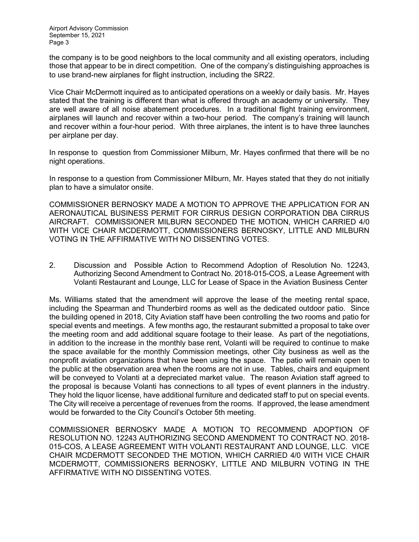the company is to be good neighbors to the local community and all existing operators, including those that appear to be in direct competition. One of the company's distinguishing approaches is to use brand-new airplanes for flight instruction, including the SR22.

Vice Chair McDermott inquired as to anticipated operations on a weekly or daily basis. Mr. Hayes stated that the training is different than what is offered through an academy or university. They are well aware of all noise abatement procedures. In a traditional flight training environment, airplanes will launch and recover within a two-hour period. The company's training will launch and recover within a four-hour period. With three airplanes, the intent is to have three launches per airplane per day.

In response to question from Commissioner Milburn, Mr. Hayes confirmed that there will be no night operations.

In response to a question from Commissioner Milburn, Mr. Hayes stated that they do not initially plan to have a simulator onsite.

COMMISSIONER BERNOSKY MADE A MOTION TO APPROVE THE APPLICATION FOR AN AERONAUTICAL BUSINESS PERMIT FOR CIRRUS DESIGN CORPORATION DBA CIRRUS AIRCRAFT. COMMISSIONER MILBURN SECONDED THE MOTION, WHICH CARRIED 4/0 WITH VICE CHAIR MCDERMOTT, COMMISSIONERS BERNOSKY, LITTLE AND MILBURN VOTING IN THE AFFIRMATIVE WITH NO DISSENTING VOTES.

2. Discussion and Possible Action to Recommend Adoption of Resolution No. 12243, Authorizing Second Amendment to Contract No. 2018-015-COS, a Lease Agreement with Volanti Restaurant and Lounge, LLC for Lease of Space in the Aviation Business Center

Ms. Williams stated that the amendment will approve the lease of the meeting rental space, including the Spearman and Thunderbird rooms as well as the dedicated outdoor patio. Since the building opened in 2018, City Aviation staff have been controlling the two rooms and patio for special events and meetings. A few months ago, the restaurant submitted a proposal to take over the meeting room and add additional square footage to their lease. As part of the negotiations, in addition to the increase in the monthly base rent, Volanti will be required to continue to make the space available for the monthly Commission meetings, other City business as well as the nonprofit aviation organizations that have been using the space. The patio will remain open to the public at the observation area when the rooms are not in use. Tables, chairs and equipment will be conveyed to Volanti at a depreciated market value. The reason Aviation staff agreed to the proposal is because Volanti has connections to all types of event planners in the industry. They hold the liquor license, have additional furniture and dedicated staff to put on special events. The City will receive a percentage of revenues from the rooms. If approved, the lease amendment would be forwarded to the City Council's October 5th meeting.

COMMISSIONER BERNOSKY MADE A MOTION TO RECOMMEND ADOPTION OF RESOLUTION NO. 12243 AUTHORIZING SECOND AMENDMENT TO CONTRACT NO. 2018- 015-COS, A LEASE AGREEMENT WITH VOLANTI RESTAURANT AND LOUNGE, LLC. VICE CHAIR MCDERMOTT SECONDED THE MOTION, WHICH CARRIED 4/0 WITH VICE CHAIR MCDERMOTT, COMMISSIONERS BERNOSKY, LITTLE AND MILBURN VOTING IN THE AFFIRMATIVE WITH NO DISSENTING VOTES.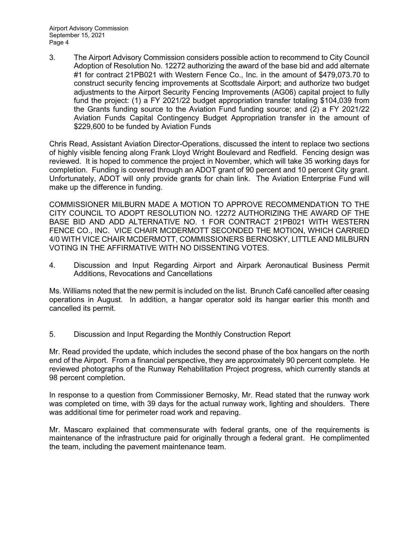3. The Airport Advisory Commission considers possible action to recommend to City Council Adoption of Resolution No. 12272 authorizing the award of the base bid and add alternate #1 for contract 21PB021 with Western Fence Co., Inc. in the amount of \$479,073.70 to construct security fencing improvements at Scottsdale Airport; and authorize two budget adjustments to the Airport Security Fencing Improvements (AG06) capital project to fully fund the project: (1) a FY 2021/22 budget appropriation transfer totaling \$104,039 from the Grants funding source to the Aviation Fund funding source; and (2) a FY 2021/22 Aviation Funds Capital Contingency Budget Appropriation transfer in the amount of \$229,600 to be funded by Aviation Funds

Chris Read, Assistant Aviation Director-Operations, discussed the intent to replace two sections of highly visible fencing along Frank Lloyd Wright Boulevard and Redfield. Fencing design was reviewed. It is hoped to commence the project in November, which will take 35 working days for completion. Funding is covered through an ADOT grant of 90 percent and 10 percent City grant. Unfortunately, ADOT will only provide grants for chain link. The Aviation Enterprise Fund will make up the difference in funding.

COMMISSIONER MILBURN MADE A MOTION TO APPROVE RECOMMENDATION TO THE CITY COUNCIL TO ADOPT RESOLUTION NO. 12272 AUTHORIZING THE AWARD OF THE BASE BID AND ADD ALTERNATIVE NO. 1 FOR CONTRACT 21PB021 WITH WESTERN FENCE CO., INC. VICE CHAIR MCDERMOTT SECONDED THE MOTION, WHICH CARRIED 4/0 WITH VICE CHAIR MCDERMOTT, COMMISSIONERS BERNOSKY, LITTLE AND MILBURN VOTING IN THE AFFIRMATIVE WITH NO DISSENTING VOTES.

4. Discussion and Input Regarding Airport and Airpark Aeronautical Business Permit Additions, Revocations and Cancellations

Ms. Williams noted that the new permit is included on the list. Brunch Café cancelled after ceasing operations in August. In addition, a hangar operator sold its hangar earlier this month and cancelled its permit.

5. Discussion and Input Regarding the Monthly Construction Report

Mr. Read provided the update, which includes the second phase of the box hangars on the north end of the Airport. From a financial perspective, they are approximately 90 percent complete. He reviewed photographs of the Runway Rehabilitation Project progress, which currently stands at 98 percent completion.

In response to a question from Commissioner Bernosky, Mr. Read stated that the runway work was completed on time, with 39 days for the actual runway work, lighting and shoulders. There was additional time for perimeter road work and repaving.

Mr. Mascaro explained that commensurate with federal grants, one of the requirements is maintenance of the infrastructure paid for originally through a federal grant. He complimented the team, including the pavement maintenance team.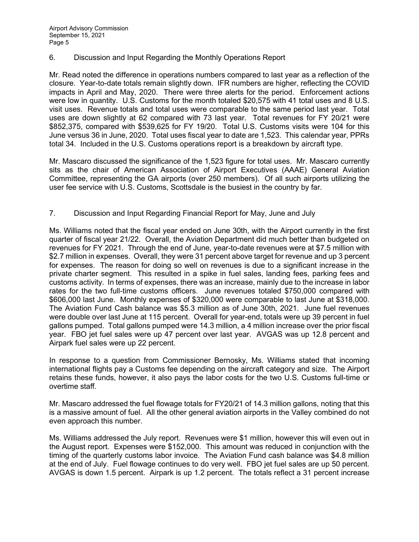#### 6. Discussion and Input Regarding the Monthly Operations Report

Mr. Read noted the difference in operations numbers compared to last year as a reflection of the closure. Year-to-date totals remain slightly down. IFR numbers are higher, reflecting the COVID impacts in April and May, 2020. There were three alerts for the period. Enforcement actions were low in quantity. U.S. Customs for the month totaled \$20,575 with 41 total uses and 8 U.S. visit uses. Revenue totals and total uses were comparable to the same period last year. Total uses are down slightly at 62 compared with 73 last year. Total revenues for FY 20/21 were \$852,375, compared with \$539,625 for FY 19/20. Total U.S. Customs visits were 104 for this June versus 36 in June, 2020. Total uses fiscal year to date are 1,523. This calendar year, PPRs total 34. Included in the U.S. Customs operations report is a breakdown by aircraft type.

Mr. Mascaro discussed the significance of the 1,523 figure for total uses. Mr. Mascaro currently sits as the chair of American Association of Airport Executives (AAAE) General Aviation Committee, representing the GA airports (over 250 members). Of all such airports utilizing the user fee service with U.S. Customs, Scottsdale is the busiest in the country by far.

## 7. Discussion and Input Regarding Financial Report for May, June and July

Ms. Williams noted that the fiscal year ended on June 30th, with the Airport currently in the first quarter of fiscal year 21/22. Overall, the Aviation Department did much better than budgeted on revenues for FY 2021. Through the end of June, year-to-date revenues were at \$7.5 million with \$2.7 million in expenses. Overall, they were 31 percent above target for revenue and up 3 percent for expenses. The reason for doing so well on revenues is due to a significant increase in the private charter segment. This resulted in a spike in fuel sales, landing fees, parking fees and customs activity. In terms of expenses, there was an increase, mainly due to the increase in labor rates for the two full-time customs officers. June revenues totaled \$750,000 compared with \$606,000 last June. Monthly expenses of \$320,000 were comparable to last June at \$318,000. The Aviation Fund Cash balance was \$5.3 million as of June 30th, 2021. June fuel revenues were double over last June at 115 percent. Overall for year-end, totals were up 39 percent in fuel gallons pumped. Total gallons pumped were 14.3 million, a 4 million increase over the prior fiscal year. FBO jet fuel sales were up 47 percent over last year. AVGAS was up 12.8 percent and Airpark fuel sales were up 22 percent.

In response to a question from Commissioner Bernosky, Ms. Williams stated that incoming international flights pay a Customs fee depending on the aircraft category and size. The Airport retains these funds, however, it also pays the labor costs for the two U.S. Customs full-time or overtime staff.

Mr. Mascaro addressed the fuel flowage totals for FY20/21 of 14.3 million gallons, noting that this is a massive amount of fuel. All the other general aviation airports in the Valley combined do not even approach this number.

Ms. Williams addressed the July report. Revenues were \$1 million, however this will even out in the August report. Expenses were \$152,000. This amount was reduced in conjunction with the timing of the quarterly customs labor invoice. The Aviation Fund cash balance was \$4.8 million at the end of July. Fuel flowage continues to do very well. FBO jet fuel sales are up 50 percent. AVGAS is down 1.5 percent. Airpark is up 1.2 percent. The totals reflect a 31 percent increase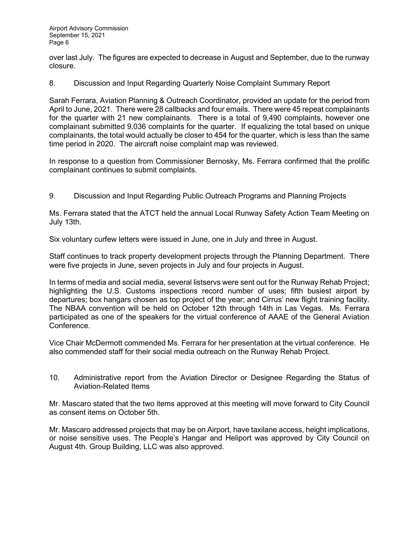over last July. The figures are expected to decrease in August and September, due to the runway closure.

8. Discussion and Input Regarding Quarterly Noise Complaint Summary Report

Sarah Ferrara, Aviation Planning & Outreach Coordinator, provided an update for the period from April to June, 2021. There were 28 callbacks and four emails. There were 45 repeat complainants for the quarter with 21 new complainants. There is a total of 9,490 complaints, however one complainant submitted 9,036 complaints for the quarter. If equalizing the total based on unique complainants, the total would actually be closer to 454 for the quarter, which is less than the same time period in 2020. The aircraft noise complaint map was reviewed.

In response to a question from Commissioner Bernosky, Ms. Ferrara confirmed that the prolific complainant continues to submit complaints.

9. Discussion and Input Regarding Public Outreach Programs and Planning Projects

Ms. Ferrara stated that the ATCT held the annual Local Runway Safety Action Team Meeting on July 13th.

Six voluntary curfew letters were issued in June, one in July and three in August.

Staff continues to track property development projects through the Planning Department. There were five projects in June, seven projects in July and four projects in August.

In terms of media and social media, several listservs were sent out for the Runway Rehab Project; highlighting the U.S. Customs inspections record number of uses; fifth busiest airport by departures; box hangars chosen as top project of the year; and Cirrus' new flight training facility. The NBAA convention will be held on October 12th through 14th in Las Vegas. Ms. Ferrara participated as one of the speakers for the virtual conference of AAAE of the General Aviation Conference.

Vice Chair McDermott commended Ms. Ferrara for her presentation at the virtual conference. He also commended staff for their social media outreach on the Runway Rehab Project.

10. Administrative report from the Aviation Director or Designee Regarding the Status of Aviation-Related Items

Mr. Mascaro stated that the two items approved at this meeting will move forward to City Council as consent items on October 5th.

Mr. Mascaro addressed projects that may be on Airport, have taxilane access, height implications, or noise sensitive uses. The People's Hangar and Heliport was approved by City Council on August 4th. Group Building, LLC was also approved.